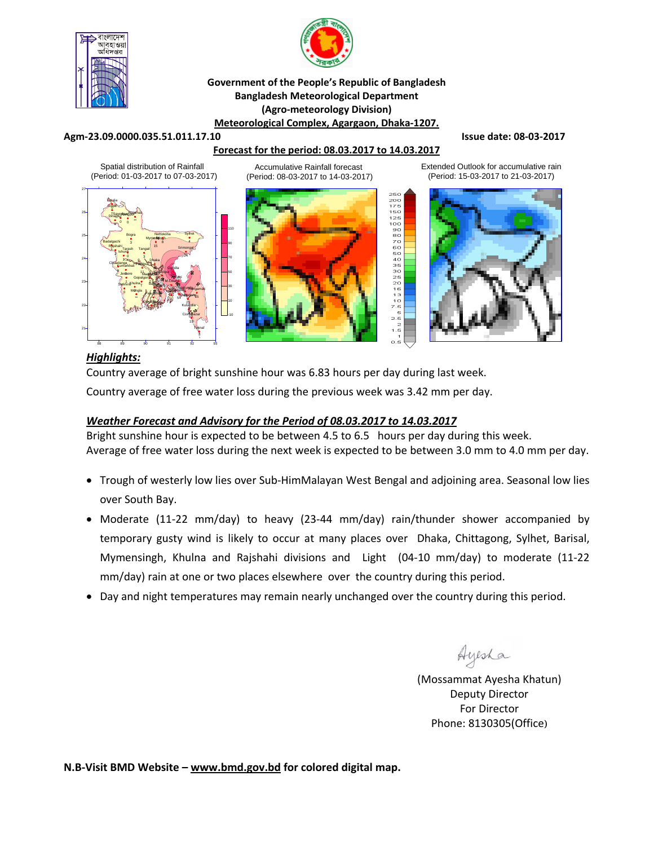



#### **Government of the People's Republic of Bangladesh Bangladesh Meteorological Department (Agro‐meteorology Division) Meteorological Complex, Agargaon, Dhaka‐1207.**

#### **Agm‐23.09.0000.035.51.011.17.10 Issue date: 08‐03‐2017**

#### **Forecast for the period: 08.03.2017 to 14.03.2017**

Spatial distribution of Rainfall (Period: 01-03-2017 to 07-03-2017)



Accumulative Rainfall forecast (Period: 08-03-2017 to 14-03-2017)



Extended Outlook for accumulative rain (Period: 15-03-2017 to 21-03-2017)



## *Highlights:*

Country average of bright sunshine hour was 6.83 hours per day during last week.

Country average of free water loss during the previous week was 3.42 mm per day.

#### *Weather Forecast and Advisory for the Period of 08.03.2017 to 14.03.2017*

Bright sunshine hour is expected to be between 4.5 to 6.5 hours per day during this week. Average of free water loss during the next week is expected to be between 3.0 mm to 4.0 mm per day.

- Trough of westerly low lies over Sub-HimMalayan West Bengal and adjoining area. Seasonal low lies over South Bay.
- Moderate (11‐22 mm/day) to heavy (23‐44 mm/day) rain/thunder shower accompanied by temporary gusty wind is likely to occur at many places over Dhaka, Chittagong, Sylhet, Barisal, Mymensingh, Khulna and Rajshahi divisions and Light (04-10 mm/day) to moderate (11-22 mm/day) rain at one or two places elsewhere over the country during this period.
- Day and night temperatures may remain nearly unchanged over the country during this period.

Ayesha

(Mossammat Ayesha Khatun) Deputy Director For Director Phone: 8130305(Office)

**N.B‐Visit BMD Website – www.bmd.gov.bd for colored digital map.**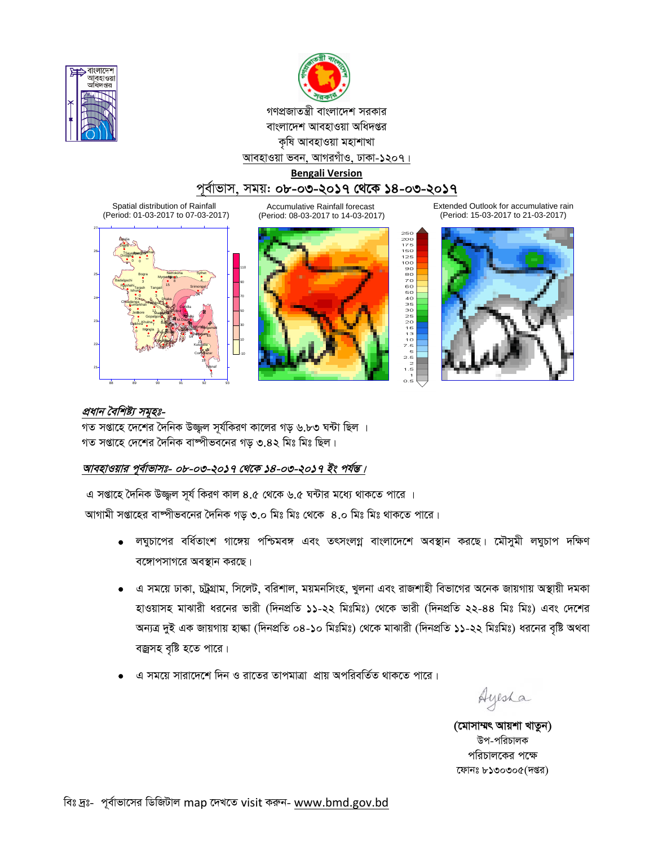



গণপ্রজাতন্ত্রী বাংলাদেশ সরকার বাংলাদেশ আবহাওয়া অধিদপ্তর কৃষি আবহাওয়া মহাশাখা আবহাওয়া ভবন, আগরগাঁও, ঢাকা-১২০৭।

**Bengali Version**

# পূৰ্বাভাস, সময়: **০৮-০৩-২০১৭ থেকে ১৪-০৩-২০১৭**

Spatial distribution of Rainfall (Period: 01-03-2017 to 07-03-2017)

Accumulative Rainfall forecast (Period: 08-03-2017 to 14-03-2017)





Extended Outlook for accumulative rain (Period: 15-03-2017 to 21-03-2017)



#### প্ৰধান বৈশিষ্ট্য সম<del>ূ</del>হঃ-

গত সপ্তাহে দেশের দৈনিক উজ্জল সূর্যকিরণ কালের গড় ৬.৮৩ ঘন্টা ছিল । গত সপ্তাহে দেশের দৈনিক বাষ্পীভবনের গড ৩.৪২ মিঃ মিঃ ছিল।

### আবহাওয়ার পূর্বাভাসঃ- ০৮-০৩-২০১৭ থেকে ১৪-০৩-২০১৭ ইং পর্যন্ত।

এ সপ্তাহে দৈনিক উজ্জুল সূর্য কিরণ কাল ৪.৫ থেকে ৬.৫ ঘন্টার মধ্যে থাকতে পারে । আগামী সপ্তাহের বাষ্পীভবনের দৈনিক গড় ৩.০ মিঃ মিঃ থেকে ৪.০ মিঃ মিঃ থাকতে পারে।

- লঘুচাপের বর্ধিতাংশ গাঙ্গেয় পশ্চিমবঙ্গ এবং তৎসংলগ্ন বাংলাদেশে অবস্থান করছে। মৌসুমী লঘুচাপ দক্ষিণ বঙ্গোপসাগরে অবস্থান করছে।
- এ সময়ে ঢাকা, চট্টগ্রাম, সিলেট, বরিশাল, ময়মনসিংহ, খুলনা এবং রাজশাহী বিভাগের অনেক জায়গায় অস্থায়ী দমকা হাওয়াসহ মাঝারী ধরনের ভারী (দিনপ্রতি ১১-২২ মিঃমিঃ) থেকে ভারী (দিনপ্রতি ২২-৪৪ মিঃ মিঃ) এবং দেশের অন্যত্র দুই এক জায়গায় হাল্কা (দিনপ্রতি ০৪-১০ মিঃমিঃ) থেকে মাঝারী (দিনপ্রতি ১১-২২ মিঃমিঃ) ধরনের বৃষ্টি অথবা বজ্রসহ বৃষ্টি হতে পারে।
- ুএ সময়ে সারাদেশে দিন ও রাতের তাপমাত্রা প্রায় অপরিবর্তিত থাকতে পারে।

Ayesha

(মোসাম্মৎ আয়শা খাতুন) উপ-পরিচালক পরিচালকের পক্ষে ফোনঃ ৮১৩০৩০৫(দপ্তর)